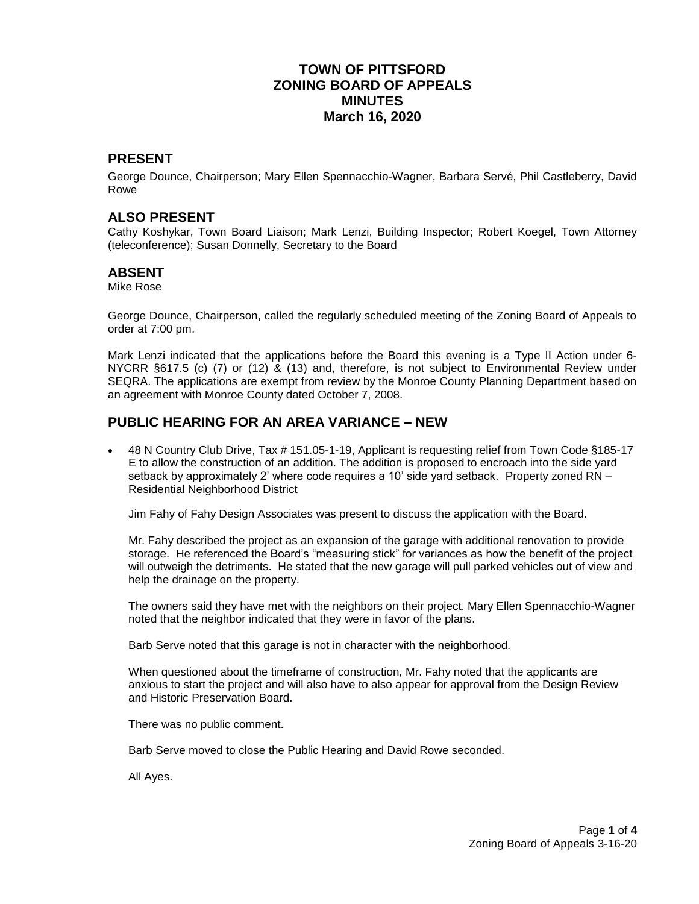## **TOWN OF PITTSFORD ZONING BOARD OF APPEALS MINUTES March 16, 2020**

#### **PRESENT**

George Dounce, Chairperson; Mary Ellen Spennacchio-Wagner, Barbara Servé, Phil Castleberry, David Rowe

#### **ALSO PRESENT**

Cathy Koshykar, Town Board Liaison; Mark Lenzi, Building Inspector; Robert Koegel, Town Attorney (teleconference); Susan Donnelly, Secretary to the Board

#### **ABSENT**

Mike Rose

George Dounce, Chairperson, called the regularly scheduled meeting of the Zoning Board of Appeals to order at 7:00 pm.

Mark Lenzi indicated that the applications before the Board this evening is a Type II Action under 6- NYCRR §617.5 (c) (7) or (12) & (13) and, therefore, is not subject to Environmental Review under SEQRA. The applications are exempt from review by the Monroe County Planning Department based on an agreement with Monroe County dated October 7, 2008.

#### **PUBLIC HEARING FOR AN AREA VARIANCE – NEW**

• 48 N Country Club Drive, Tax # 151.05-1-19, Applicant is requesting relief from Town Code §185-17 E to allow the construction of an addition. The addition is proposed to encroach into the side yard setback by approximately 2' where code requires a 10' side yard setback. Property zoned RN – Residential Neighborhood District

Jim Fahy of Fahy Design Associates was present to discuss the application with the Board.

Mr. Fahy described the project as an expansion of the garage with additional renovation to provide storage. He referenced the Board's "measuring stick" for variances as how the benefit of the project will outweigh the detriments. He stated that the new garage will pull parked vehicles out of view and help the drainage on the property.

The owners said they have met with the neighbors on their project. Mary Ellen Spennacchio-Wagner noted that the neighbor indicated that they were in favor of the plans.

Barb Serve noted that this garage is not in character with the neighborhood.

When questioned about the timeframe of construction, Mr. Fahy noted that the applicants are anxious to start the project and will also have to also appear for approval from the Design Review and Historic Preservation Board.

There was no public comment.

Barb Serve moved to close the Public Hearing and David Rowe seconded.

All Ayes.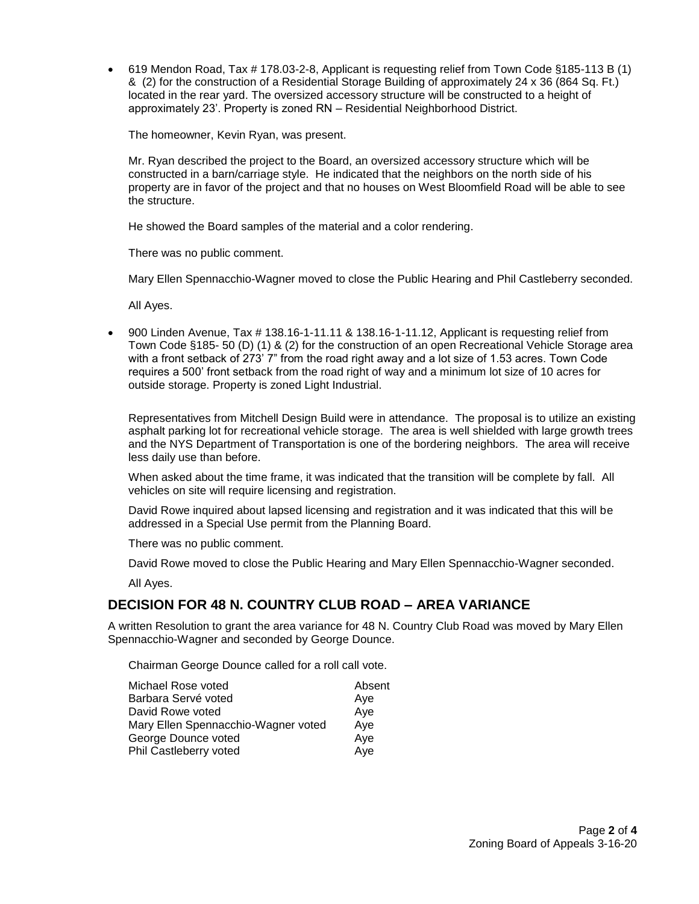619 Mendon Road, Tax # 178.03-2-8, Applicant is requesting relief from Town Code §185-113 B (1) & (2) for the construction of a Residential Storage Building of approximately 24 x 36 (864 Sq. Ft.) located in the rear yard. The oversized accessory structure will be constructed to a height of approximately 23'. Property is zoned RN – Residential Neighborhood District.

The homeowner, Kevin Ryan, was present.

Mr. Ryan described the project to the Board, an oversized accessory structure which will be constructed in a barn/carriage style. He indicated that the neighbors on the north side of his property are in favor of the project and that no houses on West Bloomfield Road will be able to see the structure.

He showed the Board samples of the material and a color rendering.

There was no public comment.

Mary Ellen Spennacchio-Wagner moved to close the Public Hearing and Phil Castleberry seconded.

All Ayes.

 900 Linden Avenue, Tax # 138.16-1-11.11 & 138.16-1-11.12, Applicant is requesting relief from Town Code §185- 50 (D) (1) & (2) for the construction of an open Recreational Vehicle Storage area with a front setback of 273' 7" from the road right away and a lot size of 1.53 acres. Town Code requires a 500' front setback from the road right of way and a minimum lot size of 10 acres for outside storage. Property is zoned Light Industrial.

Representatives from Mitchell Design Build were in attendance. The proposal is to utilize an existing asphalt parking lot for recreational vehicle storage. The area is well shielded with large growth trees and the NYS Department of Transportation is one of the bordering neighbors. The area will receive less daily use than before.

When asked about the time frame, it was indicated that the transition will be complete by fall. All vehicles on site will require licensing and registration.

David Rowe inquired about lapsed licensing and registration and it was indicated that this will be addressed in a Special Use permit from the Planning Board.

There was no public comment.

David Rowe moved to close the Public Hearing and Mary Ellen Spennacchio-Wagner seconded.

All Ayes.

#### **DECISION FOR 48 N. COUNTRY CLUB ROAD – AREA VARIANCE**

A written Resolution to grant the area variance for 48 N. Country Club Road was moved by Mary Ellen Spennacchio-Wagner and seconded by George Dounce.

Chairman George Dounce called for a roll call vote.

| Michael Rose voted                  | Absent |
|-------------------------------------|--------|
| Barbara Servé voted                 | Ave    |
| David Rowe voted                    | Aye    |
| Mary Ellen Spennacchio-Wagner voted | Aye    |
| George Dounce voted                 | Aye    |
| Phil Castleberry voted              | Aye    |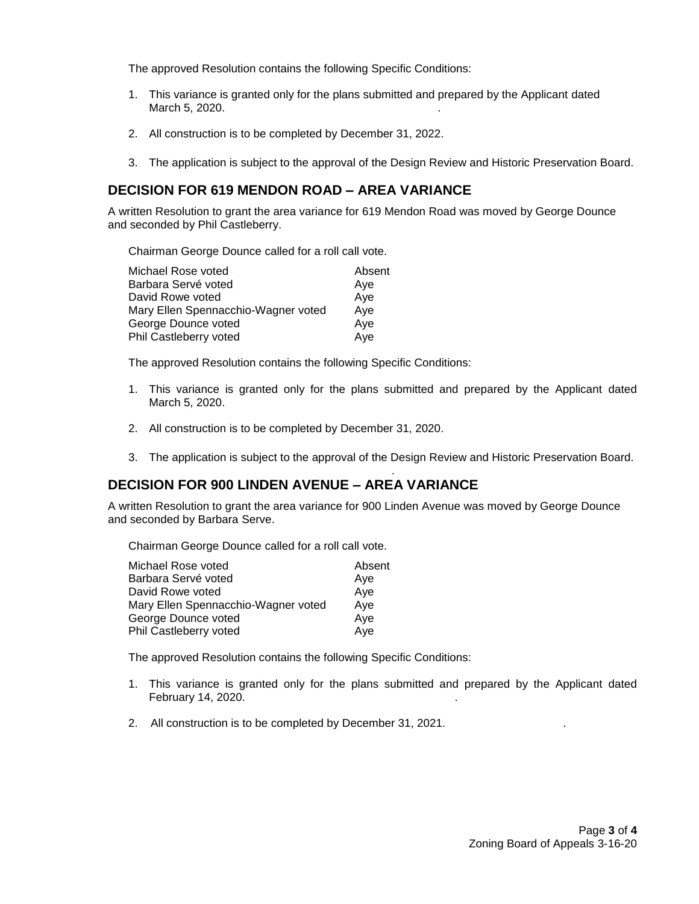The approved Resolution contains the following Specific Conditions:

- 1. This variance is granted only for the plans submitted and prepared by the Applicant dated March 5, 2020.
- 2. All construction is to be completed by December 31, 2022.
- 3. The application is subject to the approval of the Design Review and Historic Preservation Board.

## **DECISION FOR 619 MENDON ROAD – AREA VARIANCE**

A written Resolution to grant the area variance for 619 Mendon Road was moved by George Dounce and seconded by Phil Castleberry.

Chairman George Dounce called for a roll call vote.

| Michael Rose voted                         | Absent |
|--------------------------------------------|--------|
| Barbara Servé voted<br>Ave                 |        |
| Aye<br>David Rowe voted                    |        |
| Mary Ellen Spennacchio-Wagner voted<br>Aye |        |
| George Dounce voted<br>Aye                 |        |
| Phil Castleberry voted<br>Aye              |        |

The approved Resolution contains the following Specific Conditions:

- 1. This variance is granted only for the plans submitted and prepared by the Applicant dated March 5, 2020.
- 2. All construction is to be completed by December 31, 2020.
- 3. The application is subject to the approval of the Design Review and Historic Preservation Board.

## **DECISION FOR 900 LINDEN AVENUE – AREA VARIANCE**

A written Resolution to grant the area variance for 900 Linden Avenue was moved by George Dounce and seconded by Barbara Serve.

Chairman George Dounce called for a roll call vote.

.

| Michael Rose voted                  | Absent |
|-------------------------------------|--------|
| Barbara Servé voted                 | Ave    |
| David Rowe voted                    | Aye    |
| Mary Ellen Spennacchio-Wagner voted | Aye    |
| George Dounce voted                 | Aye    |
| Phil Castleberry voted              | Aye    |
|                                     |        |

The approved Resolution contains the following Specific Conditions:

- 1. This variance is granted only for the plans submitted and prepared by the Applicant dated February 14, 2020. .
- 2. All construction is to be completed by December 31, 2021.